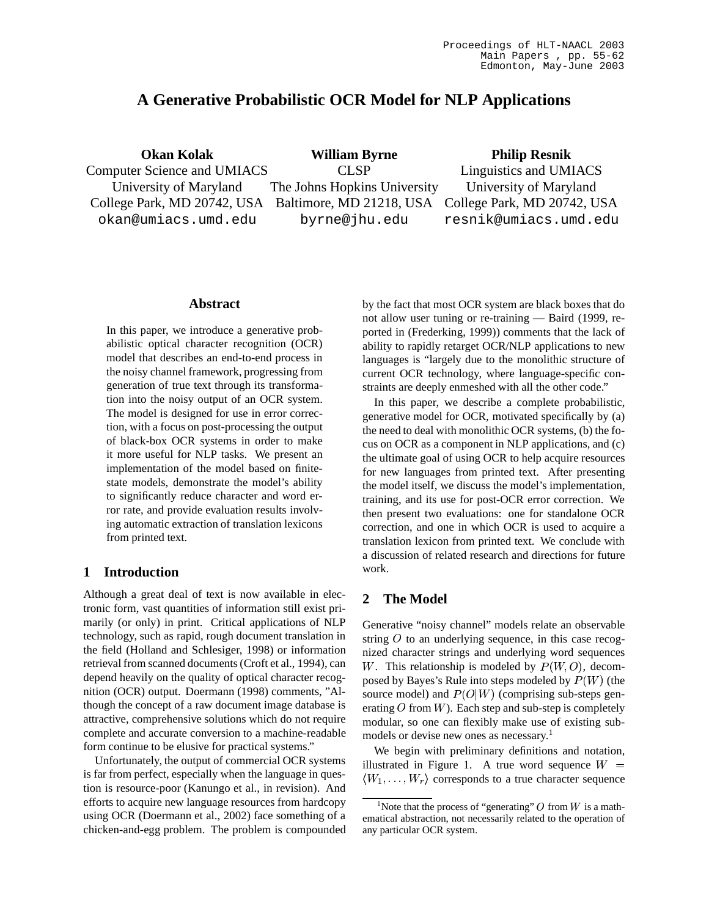# **A Generative Probabilistic OCR Model for NLP Applications**

**Okan Kolak** Computer Science and UMIACS University of Maryland College Park, MD 20742, USA Baltimore, MD 21218, USA College Park, MD 20742, USA okan@umiacs.umd.edu **William Byrne CLSP** The Johns Hopkins University byrne@jhu.edu **Philip Resnik** Linguistics and UMIACS University of Maryland resnik@umiacs.umd.edu

#### **Abstract**

In this paper, we introduce a generative probabilistic optical character recognition (OCR) model that describes an end-to-end process in the noisy channel framework, progressing from generation of true text through its transformation into the noisy output of an OCR system. The model is designed for use in error correction, with a focus on post-processing the output of black-box OCR systems in order to make it more useful for NLP tasks. We present an implementation of the model based on finitestate models, demonstrate the model's ability to significantly reduce character and word error rate, and provide evaluation results involving automatic extraction of translation lexicons from printed text.

# **1 Introduction**

Although a great deal of text is now available in electronic form, vast quantities of information still exist primarily (or only) in print. Critical applications of NLP technology, such as rapid, rough document translation in the field (Holland and Schlesiger, 1998) or information retrieval from scanned documents(Croft et al., 1994), can depend heavily on the quality of optical character recognition (OCR) output. Doermann (1998) comments, "Although the concept of a raw document image database is attractive, comprehensive solutions which do not require complete and accurate conversion to a machine-readable form continue to be elusive for practical systems."

Unfortunately, the output of commercial OCR systems is far from perfect, especially when the language in question is resource-poor (Kanungo et al., in revision). And efforts to acquire new language resources from hardcopy using OCR (Doermann et al., 2002) face something of a chicken-and-egg problem. The problem is compounded by the fact that most OCR system are black boxes that do not allow user tuning or re-training — Baird (1999, reported in (Frederking, 1999)) comments that the lack of ability to rapidly retarget OCR/NLP applications to new languages is "largely due to the monolithic structure of current OCR technology, where language-specific constraints are deeply enmeshed with all the other code."

In this paper, we describe a complete probabilistic, generative model for OCR, motivated specifically by (a) the need to deal with monolithic OCR systems, (b) the focus on OCR as a component in NLP applications, and (c) the ultimate goal of using OCR to help acquire resources for new languages from printed text. After presenting the model itself, we discuss the model's implementation, training, and its use for post-OCR error correction. We then present two evaluations: one for standalone OCR correction, and one in which OCR is used to acquire a translation lexicon from printed text. We conclude with a discussion of related research and directions for future work.

# **2 The Model**

Generative "noisy channel" models relate an observable string  $O$  to an underlying sequence, in this case recognized character strings and underlying word sequences W. This relationship is modeled by  $P(W, O)$ , decomposed by Bayes's Rule into steps modeled by  $P(W)$  (the source model) and  $P(O|W)$  (comprising sub-steps generating  $O$  from  $W$ ). Each step and sub-step is completely modular, so one can flexibly make use of existing submodels or devise new ones as necessary. 1

We begin with preliminary definitions and notation, illustrated in Figure 1. A true word sequence  $W =$  $\langle W_1, \ldots, W_r \rangle$  corresponds to a true character sequence

<sup>&</sup>lt;sup>1</sup>Note that the process of "generating" O from W is a mathematical abstraction, not necessarily related to the operation of any particular OCR system.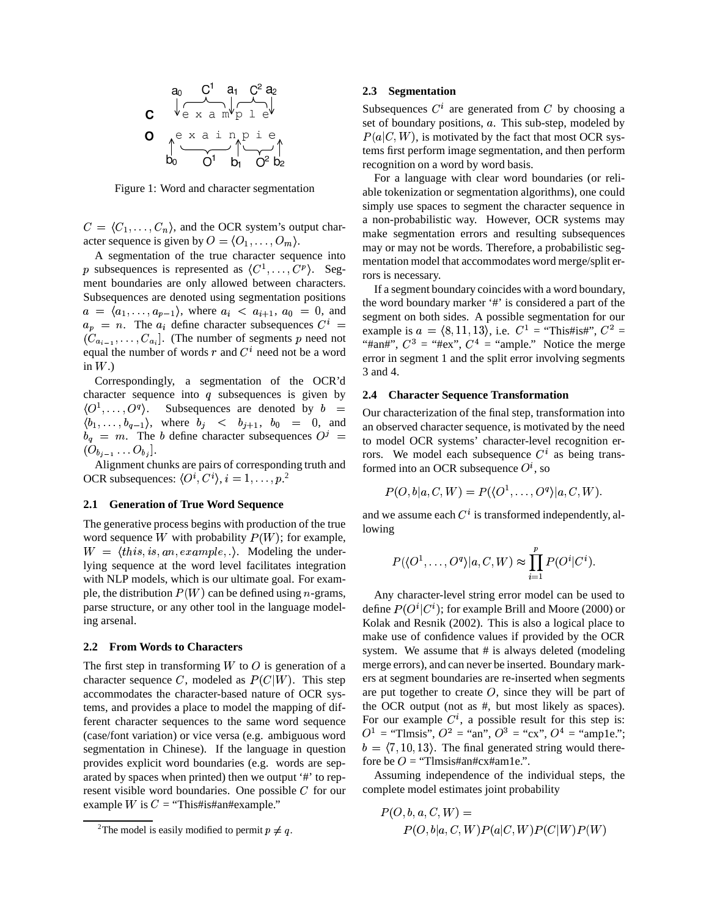

Figure 1: Word and character segmentation

 $C = \langle C_1, \ldots, C_n \rangle$ , and the OCR system's output character sequence is given by  $O = \langle O_1, \ldots, O_m \rangle$ .

A segmentation of the true character sequence into p subsequences is represented as  $\langle C^1, \ldots, C^p \rangle$ . Segment boundaries are only allowed between characters. Subsequences are denoted using segmentation positions  $a = \langle a_1, \ldots, a_{p-1} \rangle$ , where  $a_i \langle a_{i+1}, a_0 \rangle = 0$ , and  $a_p = n$ . The  $a_i$  define character subsequences  $C^i$  $(C_{a_{i-1}}, \ldots, C_{a_i}]$ . (The number of segments p need not equal the number of words  $r$  and  $C^i$  need not be a word in  $W$ .)

Correspondingly, a segmentation of the OCR'd character sequence into  $q$  subsequences is given by  $\langle \ldots, O^q \rangle$ . Subsequences are denoted by  $b = 0$  $\langle b_1,\ldots,b_{q-1}\rangle$ , where  $b_j \langle b_{j+1}, b_0 \rangle = 0$ , and  $\langle b_1, \ldots, b_{q-1} \rangle$  $b_q = m$ . The b define character subsequences  $O^j =$  $(O_{b_{i-1}} \ldots O_{b_i}).$ 

Alignment chunks are pairs of corresponding truth and OCR subsequences:  $\langle O^i, C^i \rangle$ ,  $i = 1, ..., p$ .<sup>2</sup>

#### **2.1 Generation of True Word Sequence**

The generative process begins with production of the true word sequence W with probability  $P(W)$ ; for example,  $W = \langle this, is, an, example, \ldots \rangle$ . Modeling the underlying sequence at the word level facilitates integration with NLP models, which is our ultimate goal. For example, the distribution  $P(W)$  can be defined using *n*-grams, parse structure, or any other tool in the language modeling arsenal.

#### **2.2 From Words to Characters**

The first step in transforming  $W$  to  $O$  is generation of a character sequence C, modeled as  $P(C|W)$ . This step accommodates the character-based nature of OCR systems, and provides a place to model the mapping of different character sequences to the same word sequence (case/font variation) or vice versa (e.g. ambiguous word segmentation in Chinese). If the language in question provides explicit word boundaries (e.g. words are separated by spaces when printed) then we output '#' to represent visible word boundaries. One possible  $C$  for our com example *W* is  $C = \text{``This#is#an#example."}$ 

#### **2.3 Segmentation**

Subsequences  $C^i$  are generated from  $C$  by choosing a set of boundary positions, a. This sub-step, modeled by  $P(a|C, W)$ , is motivated by the fact that most OCR systems first perform image segmentation, and then perform recognition on a word by word basis.

For a language with clear word boundaries (or reliable tokenization or segmentation algorithms), one could simply use spaces to segment the character sequence in a non-probabilistic way. However, OCR systems may make segmentation errors and resulting subsequences may or may not be words. Therefore, a probabilistic segmentation model that accommodates word merge/split errors is necessary.

 segment on both sides. A possible segmentation for our If a segment boundary coincides with a word boundary, the word boundary marker '#' is considered a part of the example is  $a = (8, 11, 13)$ , i.e.  $C^1 = \text{``This}$ #is#",  $C^2 =$ "#an#",  $C^3$  = "#ex",  $C^4$  = "ample." Notice the merge error in segment 1 and the split error involving segments 3 and 4.

#### **2.4 Character Sequence Transformation**

 an observed character sequence, is motivated by the need Our characterization of the final step, transformation into to model OCR systems' character-level recognition errors. We model each subsequence  $C<sup>i</sup>$  as being transformed into an OCR subsequence  $O^i$ , so

$$
P(O, b|a, C, W) = P(\langle O^1, \ldots, O^q \rangle | a, C, W).
$$

and we assume each  $C^i$  is transformed independently, allowing

$$
P(\langle O^1,\ldots,O^q \rangle | a, C, W) \approx \prod_{i=1}^p P(O^i | C^i).
$$

Any character-level string error model can be used to define  $P(O^i|C^i)$ ; for example Brill and Moore (2000) or Kolak and Resnik (2002). This is also a logical place to make use of confidence values if provided by the OCR system. We assume that # is always deleted (modeling merge errors), and can never be inserted. Boundary markers at segment boundaries are re-inserted when segments are put together to create  $O$ , since they will be part of the OCR output (not as #, but most likely as spaces). For our example  $C^i$ , a possible result for this step is:  $O^1$  = "Tlmsis",  $O^2$  = "an",  $O^3$  = "cx",  $O^4$  = "ample.";  $b = \langle 7, 10, 13 \rangle$ . The final generated string would therefore be  $O = "Tlmsis#an#cx#am1e."$ .

Assuming independence of the individual steps, the complete model estimates joint probability

$$
P(O, b, a, C, W) =
$$
  
 
$$
P(O, b|a, C, W)P(a|C, W)P(C|W)P(W)
$$

<sup>&</sup>lt;sup>2</sup>The model is easily modified to permit  $p \neq q$ .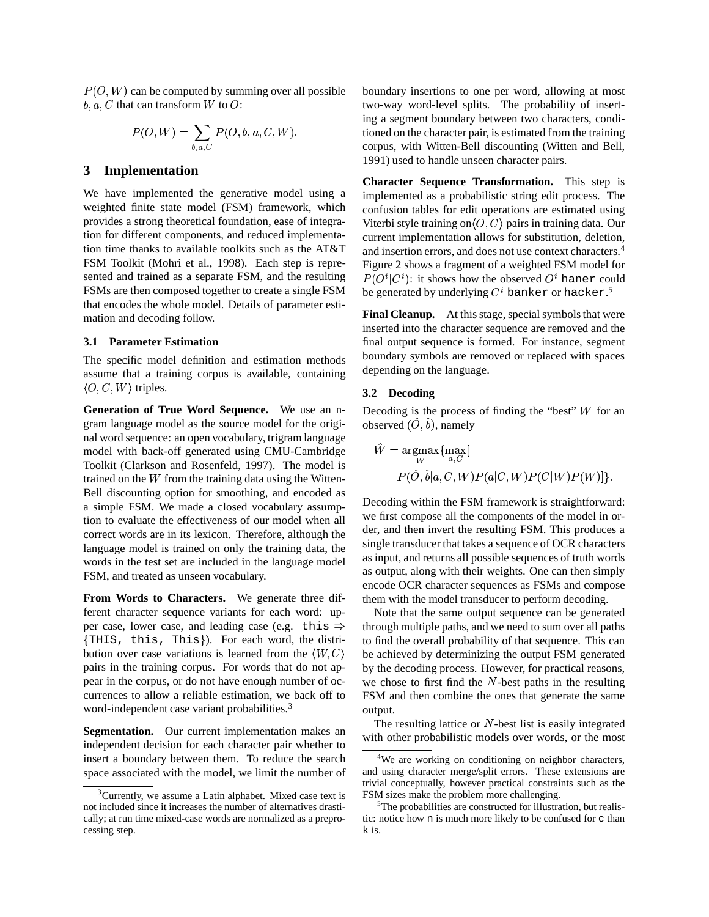$P(O, W)$  can be computed by summing over all possible  $b,a,C$  that can transform  $W$  to  $O$ :

$$
P(O,W)=\sum_{b,a,C}P(O,b,a,C,W).
$$

# **3 Implementation**

We have implemented the generative model using a weighted finite state model (FSM) framework, which provides a strong theoretical foundation, ease of integration for different components, and reduced implementation time thanks to available toolkits such as the AT&T FSM Toolkit (Mohri et al., 1998). Each step is represented and trained as a separate FSM, and the resulting FSMs are then composed together to create a single FSM that encodes the whole model. Details of parameter estimation and decoding follow.

#### **3.1 Parameter Estimation**

The specific model definition and estimation methods assume that a training corpus is available, containing  $\langle O, C, W \rangle$  triples.

**Generation of True Word Sequence.** We use an ngram language model as the source model for the original word sequence: an open vocabulary, trigram language model with back-off generated using CMU-Cambridge Toolkit (Clarkson and Rosenfeld, 1997). The model is trained on the  $W$  from the training data using the Witten-Bell discounting option for smoothing, and encoded as a simple FSM. We made a closed vocabulary assumption to evaluate the effectiveness of our model when all correct words are in its lexicon. Therefore, although the language model is trained on only the training data, the words in the test set are included in the language model FSM, and treated as unseen vocabulary.

**From Words to Characters.** We generate three different character sequence variants for each word: upper case, lower case, and leading case (e.g. this  $\Rightarrow$  $\{THIS, this, This\}.$  For each word, the distribution over case variations is learned from the  $\langle W, C \rangle$ pairs in the training corpus. For words that do not appear in the corpus, or do not have enough number of occurrences to allow a reliable estimation, we back off to word-independent case variant probabilities.<sup>3</sup>

**Segmentation.** Our current implementation makes an independent decision for each character pair whether to insert a boundary between them. To reduce the search space associated with the model, we limit the number of boundary insertions to one per word, allowing at most two-way word-level splits. The probability of inserting a segment boundary between two characters, conditioned on the character pair, is estimated from the training corpus, with Witten-Bell discounting (Witten and Bell, 1991) used to handle unseen character pairs.

**Character Sequence Transformation.** This step is implemented as a probabilistic string edit process. The confusion tables for edit operations are estimated using Viterbi style training on $\langle O, C \rangle$  pairs in training data. Our current implementation allows for substitution, deletion, and insertion errors, and does not use context characters.<sup>4</sup> Figure 2 shows a fragment of a weighted FSM model for  $P(O^i | C^i)$ : it shows how the observed  $O^i$  haner could be generated by underlying  $C^i$  banker or hacker. $^5$ 

**Final Cleanup.** At this stage, special symbols that were inserted into the character sequence are removed and the final output sequence is formed. For instance, segment boundary symbols are removed or replaced with spaces depending on the language.

#### **3.2 Decoding**

Decoding is the process of finding the "best"  $W$  for an observed  $(O, b)$ , namely

$$
\begin{aligned} \dot{W} &= \underset{W}{\text{argmax}} \{ \underset{a,C}{\text{max}} [ \\ P(\hat{O}, \hat{b}|a, C, W) P(a|C, W) P(C|W) P(W)] \}. \end{aligned}
$$

Decoding within the FSM framework is straightforward: we first compose all the components of the model in order, and then invert the resulting FSM. This produces a single transducer that takes a sequence of OCR characters as input, and returns all possible sequences of truth words as output, along with their weights. One can then simply encode OCR character sequences as FSMs and compose them with the model transducer to perform decoding.

Note that the same output sequence can be generated through multiple paths, and we need to sum over all paths to find the overall probability of that sequence. This can be achieved by determinizing the output FSM generated by the decoding process. However, for practical reasons, we chose to first find the  $N$ -best paths in the resulting FSM and then combine the ones that generate the same output.

The resulting lattice or  $N$ -best list is easily integrated with other probabilistic models over words, or the most

<sup>&</sup>lt;sup>3</sup>Currently, we assume a Latin alphabet. Mixed case text is not included since it increases the number of alternatives drastically; at run time mixed-case words are normalized as a preprocessing step.

<sup>&</sup>lt;sup>4</sup>We are working on conditioning on neighbor characters, and using character merge/split errors. These extensions are trivial conceptually, however practical constraints such as the FSM sizes make the problem more challenging.

<sup>&</sup>lt;sup>5</sup>The probabilities are constructed for illustration, but realistic: notice how n is much more likely to be confused for c than k is.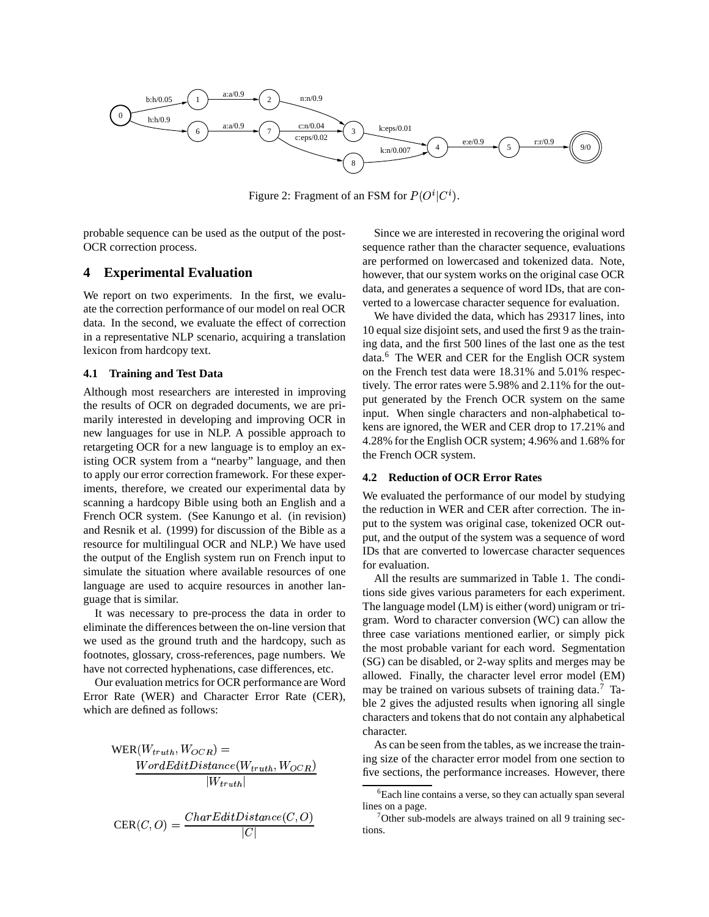

Figure 2: Fragment of an FSM for  $P(O^i|C^i)$ .

probable sequence can be used as the output of the post-OCR correction process.

# **4 Experimental Evaluation**

We report on two experiments. In the first, we evaluate the correction performance of our model on real OCR data. In the second, we evaluate the effect of correction in a representative NLP scenario, acquiring a translation lexicon from hardcopy text.

#### **4.1 Training and Test Data**

Although most researchers are interested in improving the results of OCR on degraded documents, we are primarily interested in developing and improving OCR in new languages for use in NLP. A possible approach to retargeting OCR for a new language is to employ an existing OCR system from a "nearby" language, and then to apply our error correction framework. For these experiments, therefore, we created our experimental data by scanning a hardcopy Bible using both an English and a French OCR system. (See Kanungo et al. (in revision) and Resnik et al. (1999) for discussion of the Bible as a resource for multilingual OCR and NLP.) We have used the output of the English system run on French input to simulate the situation where available resources of one language are used to acquire resources in another language that is similar.

It was necessary to pre-process the data in order to eliminate the differences between the on-line version that we used as the ground truth and the hardcopy, such as footnotes, glossary, cross-references, page numbers. We have not corrected hyphenations, case differences, etc.

Our evaluation metrics for OCR performance are Word Error Rate (WER) and Character Error Rate (CER), which are defined as follows:

$$
WER(W_{truth}, W_{OCR}) =\n \frac{WordEditDistance(W_{truth}, W_{OCR})}{|W_{truth}|}
$$

$$
\mathrm{CER}(C,O) = \frac{CharEdit Distance(C,O)}{|C|}
$$

Since we are interested in recovering the original word sequence rather than the character sequence, evaluations are performed on lowercased and tokenized data. Note, however, that our system works on the original case OCR data, and generates a sequence of word IDs, that are converted to a lowercase character sequence for evaluation.

We have divided the data, which has 29317 lines, into 10 equal size disjoint sets, and used the first 9 as the training data, and the first 500 lines of the last one as the test data.<sup>6</sup> The WER and CER for the English OCR system on the French test data were 18.31% and 5.01% respectively. The error rates were 5.98% and 2.11% for the output generated by the French OCR system on the same input. When single characters and non-alphabetical tokens are ignored, the WER and CER drop to 17.21% and 4.28% for the English OCR system; 4.96% and 1.68% for the French OCR system.

# **4.2 Reduction of OCR Error Rates**

We evaluated the performance of our model by studying the reduction in WER and CER after correction. The input to the system was original case, tokenized OCR output, and the output of the system was a sequence of word IDs that are converted to lowercase character sequences for evaluation.

All the results are summarized in Table 1. The conditions side gives various parameters for each experiment. The language model (LM) is either (word) unigram or trigram. Word to character conversion (WC) can allow the three case variations mentioned earlier, or simply pick the most probable variant for each word. Segmentation (SG) can be disabled, or 2-way splits and merges may be allowed. Finally, the character level error model (EM) may be trained on various subsets of training data.<sup>7</sup> Table 2 gives the adjusted results when ignoring all single characters and tokens that do not contain any alphabetical character.

ing size of the character error model from one section to As can be seen from the tables, as we increase the trainfive sections, the performance increases. However, there

<sup>&</sup>lt;sup>6</sup>Each line contains a verse, so they can actually span several lines on a page.

<sup>7</sup>Other sub-models are always trained on all 9 training sections.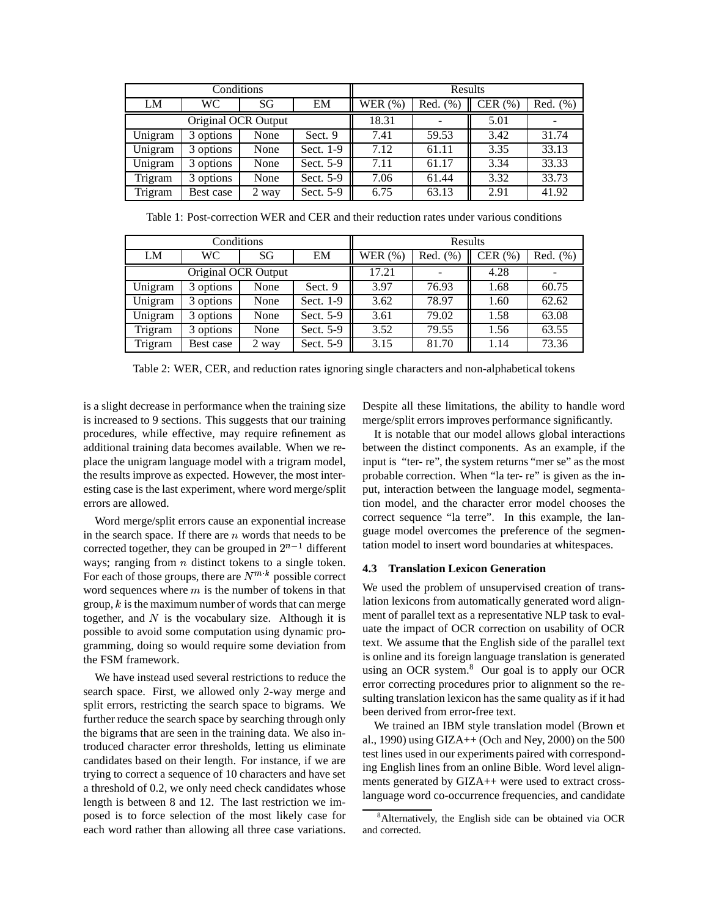| Conditions          |                        |       |           | Results    |               |           |              |
|---------------------|------------------------|-------|-----------|------------|---------------|-----------|--------------|
| LM                  | WC.                    | SG    | EM        | WER $(\%)$ | $Red.$ $(\%)$ | CER $(%)$ | Red. $(\% )$ |
| Original OCR Output |                        |       |           | 18.31      |               | 5.01      |              |
| Unigram             | 3 options              | None  | Sect. 9   | 7.41       | 59.53         | 3.42      | 31.74        |
| Unigram             | $\overline{3}$ options | None  | Sect. 1-9 | 7.12       | 61.11         | 3.35      | 33.13        |
| Unigram             | 3 options              | None  | Sect. 5-9 | 7.11       | 61.17         | 3.34      | 33.33        |
| Trigram             | 3 options              | None  | Sect. 5-9 | 7.06       | 61.44         | 3.32      | 33.73        |
| Trigram             | Best case              | 2 way | Sect. 5-9 | 6.75       | 63.13         | 2.91      | 41.92        |

Table 1: Post-correction WER and CER and their reduction rates under various conditions

| Conditions          |           |       |           | Results    |               |           |               |
|---------------------|-----------|-------|-----------|------------|---------------|-----------|---------------|
| LM                  | WC.       | SG    | EM        | WER $(\%)$ | $Red.$ $(\%)$ | CER $(%)$ | $Red.$ $(\%)$ |
| Original OCR Output |           |       |           | 17.21      |               | 4.28      |               |
| Unigram             | 3 options | None  | Sect. 9   | 3.97       | 76.93         | 1.68      | 60.75         |
| Unigram             | 3 options | None  | Sect. 1-9 | 3.62       | 78.97         | 1.60      | 62.62         |
| Unigram             | 3 options | None  | Sect. 5-9 | 3.61       | 79.02         | 1.58      | 63.08         |
| Trigram             | 3 options | None  | Sect. 5-9 | 3.52       | 79.55         | 1.56      | 63.55         |
| Trigram             | Best case | 2 way | Sect. 5-9 | 3.15       | 81.70         | 1.14      | 73.36         |

Table 2: WER, CER, and reduction rates ignoring single characters and non-alphabetical tokens

is a slight decrease in performance when the training size is increased to 9 sections. This suggests that our training procedures, while effective, may require refinement as additional training data becomes available. When we replace the unigram language model with a trigram model, the results improve as expected. However, the most interesting case is the last experiment, where word merge/split errors are allowed.

Word merge/split errors cause an exponential increase in the search space. If there are  $n$  words that needs to be corrected together, they can be grouped in  $2^{n-1}$  different ways; ranging from  $n$  distinct tokens to a single token. For each of those groups, there are  $N^{m-k}$  possible correct word sequences where  $m$  is the number of tokens in that group,  $k$  is the maximum number of words that can merge together, and  $N$  is the vocabulary size. Although it is possible to avoid some computation using dynamic programming, doing so would require some deviation from the FSM framework.

We have instead used several restrictions to reduce the search space. First, we allowed only 2-way merge and split errors, restricting the search space to bigrams. We further reduce the search space by searching through only the bigrams that are seen in the training data. We also introduced character error thresholds, letting us eliminate candidates based on their length. For instance, if we are trying to correct a sequence of 10 characters and have set a threshold of 0.2, we only need check candidates whose length is between 8 and 12. The last restriction we imposed is to force selection of the most likely case for each word rather than allowing all three case variations. Despite all these limitations, the ability to handle word merge/split errors improves performance significantly.

It is notable that our model allows global interactions between the distinct components. As an example, if the input is "ter- re", the system returns "mer se" as the most probable correction. When "la ter- re" is given as the input, interaction between the language model, segmentation model, and the character error model chooses the correct sequence "la terre". In this example, the language model overcomes the preference of the segmentation model to insert word boundaries at whitespaces.

#### **4.3 Translation Lexicon Generation**

We used the problem of unsupervised creation of translation lexicons from automatically generated word alignment of parallel text as a representative NLP task to evaluate the impact of OCR correction on usability of OCR text. We assume that the English side of the parallel text is online and its foreign language translation is generated using an OCR system. $8$  Our goal is to apply our OCR error correcting procedures prior to alignment so the resulting translation lexicon has the same quality as if it had been derived from error-free text.

We trained an IBM style translation model (Brown et al., 1990) using GIZA++ (Och and Ney, 2000) on the 500 test lines used in our experiments paired with corresponding English lines from an online Bible. Word level alignments generated by GIZA++ were used to extract crosslanguage word co-occurrence frequencies, and candidate

<sup>8</sup>Alternatively, the English side can be obtained via OCR and corrected.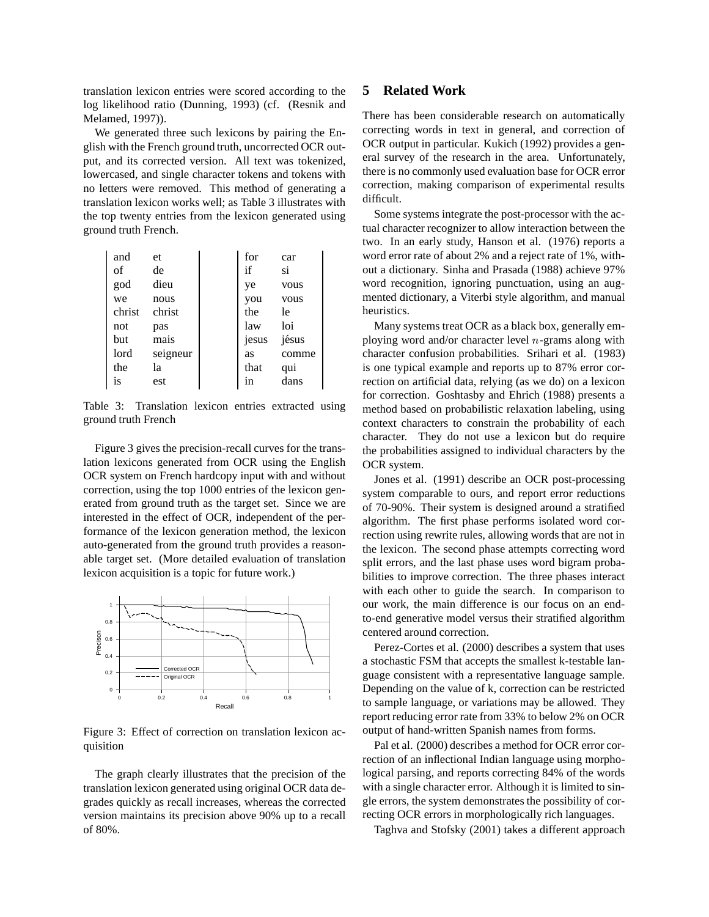translation lexicon entries were scored according to the log likelihood ratio (Dunning, 1993) (cf. (Resnik and Melamed, 1997)).

We generated three such lexicons by pairing the English with the French ground truth, uncorrected OCR output, and its corrected version. All text was tokenized, lowercased, and single character tokens and tokens with no letters were removed. This method of generating a translation lexicon works well; as Table 3 illustrates with the top twenty entries from the lexicon generated using ground truth French.

| and    | et       | for   | car   |
|--------|----------|-------|-------|
| of     | de       | if    | si    |
| god    | dieu     | ye    | vous  |
| we     | nous     | you   | vous  |
| christ | christ   | the   | le    |
| not    | pas      | law   | loi   |
| but    | mais     | jesus | jésus |
| lord   | seigneur | as    | comme |
| the    | la       | that  | qui   |
| is     | est      | in    | dans  |

Table 3: Translation lexicon entries extracted using ground truth French

Figure 3 gives the precision-recall curves for the translation lexicons generated from OCR using the English OCR system on French hardcopy input with and without correction, using the top 1000 entries of the lexicon generated from ground truth as the target set. Since we are interested in the effect of OCR, independent of the performance of the lexicon generation method, the lexicon auto-generated from the ground truth provides a reasonable target set. (More detailed evaluation of translation lexicon acquisition is a topic for future work.)



Figure 3: Effect of correction on translation lexicon acquisition

The graph clearly illustrates that the precision of the translation lexicon generated using original OCR data degrades quickly as recall increases, whereas the corrected version maintains its precision above 90% up to a recall of 80%.

# **5 Related Work**

There has been considerable research on automatically correcting words in text in general, and correction of OCR output in particular. Kukich (1992) provides a general survey of the research in the area. Unfortunately, there is no commonly used evaluation base for OCR error correction, making comparison of experimental results difficult.

Some systems integrate the post-processor with the actual character recognizer to allow interaction between the two. In an early study, Hanson et al. (1976) reports a word error rate of about 2% and a reject rate of 1%, without a dictionary. Sinha and Prasada (1988) achieve 97% word recognition, ignoring punctuation, using an augmented dictionary, a Viterbi style algorithm, and manual heuristics.

Many systems treat OCR as a black box, generally employing word and/or character level  $n$ -grams along with character confusion probabilities. Srihari et al. (1983) is one typical example and reports up to 87% error correction on artificial data, relying (as we do) on a lexicon for correction. Goshtasby and Ehrich (1988) presents a method based on probabilistic relaxation labeling, using context characters to constrain the probability of each character. They do not use a lexicon but do require the probabilities assigned to individual characters by the OCR system.

Jones et al. (1991) describe an OCR post-processing system comparable to ours, and report error reductions of 70-90%. Their system is designed around a stratified algorithm. The first phase performs isolated word correction using rewrite rules, allowing words that are not in the lexicon. The second phase attempts correcting word split errors, and the last phase uses word bigram probabilities to improve correction. The three phases interact with each other to guide the search. In comparison to our work, the main difference is our focus on an endto-end generative model versus their stratified algorithm centered around correction.

Perez-Cortes et al. (2000) describes a system that uses a stochastic FSM that accepts the smallest k-testable language consistent with a representative language sample. Depending on the value of k, correction can be restricted to sample language, or variations may be allowed. They report reducing error rate from 33% to below 2% on OCR output of hand-written Spanish names from forms.

Pal et al. (2000) describes a method for OCR error correction of an inflectional Indian language using morphological parsing, and reports correcting 84% of the words with a single character error. Although it is limited to single errors, the system demonstrates the possibility of correcting OCR errors in morphologically rich languages.

Taghva and Stofsky (2001) takes a different approach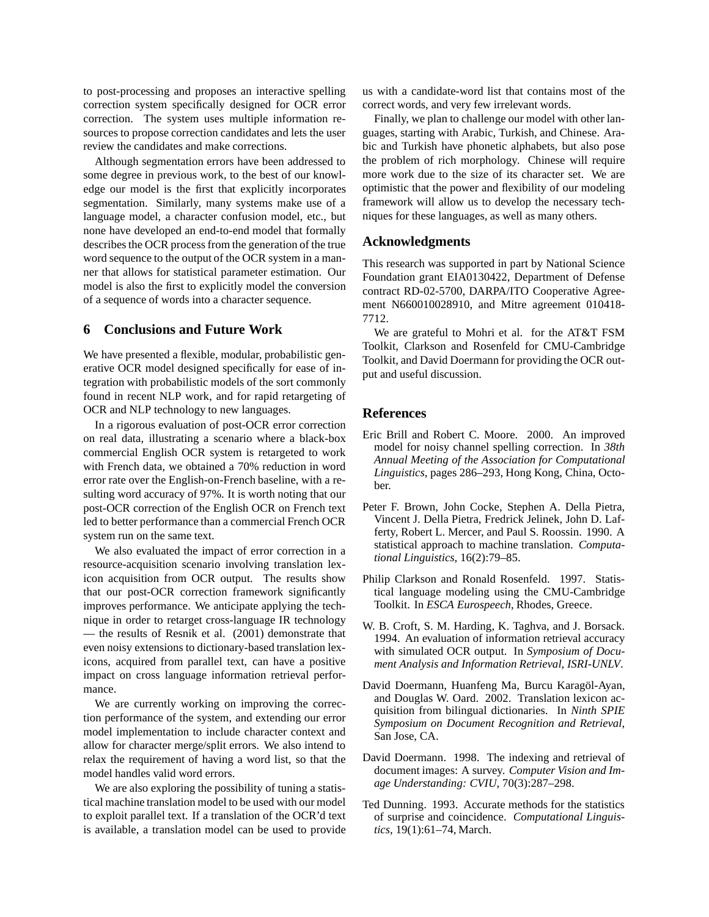to post-processing and proposes an interactive spelling correction system specifically designed for OCR error correction. The system uses multiple information resources to propose correction candidates and lets the user review the candidates and make corrections.

Although segmentation errors have been addressed to some degree in previous work, to the best of our knowledge our model is the first that explicitly incorporates segmentation. Similarly, many systems make use of a language model, a character confusion model, etc., but none have developed an end-to-end model that formally describes the OCR process from the generation of the true word sequence to the output of the OCR system in a manner that allows for statistical parameter estimation. Our model is also the first to explicitly model the conversion of a sequence of words into a character sequence.

### **6 Conclusions and Future Work**

We have presented a flexible, modular, probabilistic generative OCR model designed specifically for ease of integration with probabilistic models of the sort commonly found in recent NLP work, and for rapid retargeting of OCR and NLP technology to new languages.

In a rigorous evaluation of post-OCR error correction on real data, illustrating a scenario where a black-box commercial English OCR system is retargeted to work with French data, we obtained a 70% reduction in word error rate over the English-on-French baseline, with a resulting word accuracy of 97%. It is worth noting that our post-OCR correction of the English OCR on French text led to better performance than a commercial French OCR system run on the same text.

We also evaluated the impact of error correction in a resource-acquisition scenario involving translation lexicon acquisition from OCR output. The results show that our post-OCR correction framework significantly improves performance. We anticipate applying the technique in order to retarget cross-language IR technology — the results of Resnik et al. (2001) demonstrate that even noisy extensions to dictionary-based translation lexicons, acquired from parallel text, can have a positive impact on cross language information retrieval performance.

We are currently working on improving the correction performance of the system, and extending our error model implementation to include character context and allow for character merge/split errors. We also intend to relax the requirement of having a word list, so that the model handles valid word errors.

We are also exploring the possibility of tuning a statistical machine translation model to be used with our model to exploit parallel text. If a translation of the OCR'd text is available, a translation model can be used to provide us with a candidate-word list that contains most of the correct words, and very few irrelevant words.

Finally, we plan to challenge our model with other languages, starting with Arabic, Turkish, and Chinese. Arabic and Turkish have phonetic alphabets, but also pose the problem of rich morphology. Chinese will require more work due to the size of its character set. We are optimistic that the power and flexibility of our modeling framework will allow us to develop the necessary techniques for these languages, as well as many others.

# **Acknowledgments**

This research was supported in part by National Science Foundation grant EIA0130422, Department of Defense contract RD-02-5700, DARPA/ITO Cooperative Agreement N660010028910, and Mitre agreement 010418- 7712.

We are grateful to Mohri et al. for the AT&T FSM Toolkit, Clarkson and Rosenfeld for CMU-Cambridge Toolkit, and David Doermann for providing the OCR output and useful discussion.

### **References**

- Eric Brill and Robert C. Moore. 2000. An improved model for noisy channel spelling correction. In *38th Annual Meeting of the Association for Computational Linguistics*, pages 286–293, Hong Kong, China, October.
- Peter F. Brown, John Cocke, Stephen A. Della Pietra, Vincent J. Della Pietra, Fredrick Jelinek, John D. Lafferty, Robert L. Mercer, and Paul S. Roossin. 1990. A statistical approach to machine translation. *Computational Linguistics*, 16(2):79–85.
- Philip Clarkson and Ronald Rosenfeld. 1997. Statistical language modeling using the CMU-Cambridge Toolkit. In *ESCA Eurospeech*, Rhodes, Greece.
- W. B. Croft, S. M. Harding, K. Taghva, and J. Borsack. 1994. An evaluation of information retrieval accuracy with simulated OCR output. In *Symposium of Document Analysis and Information Retrieval, ISRI-UNLV*.
- David Doermann, Huanfeng Ma, Burcu Karagöl-Ayan, and Douglas W. Oard. 2002. Translation lexicon acquisition from bilingual dictionaries. In *Ninth SPIE Symposium on Document Recognition and Retrieval*, San Jose, CA.
- David Doermann. 1998. The indexing and retrieval of document images: A survey. *Computer Vision and Image Understanding: CVIU*, 70(3):287–298.
- Ted Dunning. 1993. Accurate methods for the statistics of surprise and coincidence. *Computational Linguistics*, 19(1):61–74, March.